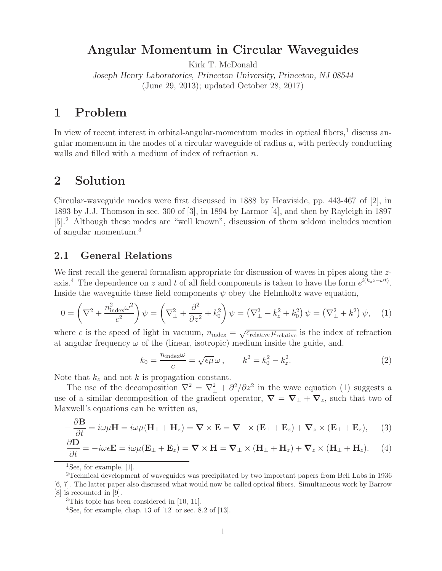## **Angular Momentum in Circular Waveguides**

Kirk T. McDonald

*Joseph Henry Laboratories, Princeton University, Princeton, NJ 08544* (June 29, 2013); updated October 28, 2017)

# **1 Problem**

In view of recent interest in orbital-angular-momentum modes in optical fibers, $<sup>1</sup>$  discuss an-</sup> gular momentum in the modes of a circular waveguide of radius  $a$ , with perfectly conducting walls and filled with a medium of index of refraction n.

## **2 Solution**

Circular-waveguide modes were first discussed in 1888 by Heaviside, pp. 443-467 of [2], in 1893 by J.J. Thomson in sec. 300 of [3], in 1894 by Larmor [4], and then by Rayleigh in 1897 [5].<sup>2</sup> Although these modes are "well known", discussion of them seldom includes mention of angular momentum.<sup>3</sup>

## **2.1 General Relations**

We first recall the general formalism appropriate for discussion of waves in pipes along the zaxis.<sup>4</sup> The dependence on z and t of all field components is taken to have the form  $e^{i(k_z z - \omega t)}$ . Inside the waveguide these field components  $\psi$  obey the Helmholtz wave equation,

$$
0 = \left(\nabla^2 + \frac{n_{\text{index}}^2 \omega^2}{c^2}\right) \psi = \left(\nabla^2_{\perp} + \frac{\partial^2}{\partial z^2} + k_0^2\right) \psi = \left(\nabla^2_{\perp} - k_z^2 + k_0^2\right) \psi = \left(\nabla^2_{\perp} + k^2\right) \psi, \quad (1)
$$

where c is the speed of light in vacuum,  $n_{index} = \sqrt{\epsilon_{relative} \mu_{relative}}$  is the index of refraction at angular frequency  $\omega$  of the (linear, isotropic) medium inside the guide, and,

$$
k_0 = \frac{n_{\text{index}}\omega}{c} = \sqrt{\epsilon\mu}\,\omega\,, \qquad k^2 = k_0^2 - k_z^2. \tag{2}
$$

Note that  $k_z$  and not k is propagation constant.

The use of the decomposition  $\nabla^2 = \nabla^2 + \frac{\partial^2}{\partial z^2}$  in the wave equation (1) suggests a use of a similar decomposition of the gradient operator,  $\nabla = \nabla_{\perp} + \nabla_z$ , such that two of Maxwell's equations can be written as,

$$
-\frac{\partial \mathbf{B}}{\partial t} = i\omega\mu\mathbf{H} = i\omega\mu(\mathbf{H}_{\perp} + \mathbf{H}_{z}) = \nabla \times \mathbf{E} = \nabla_{\perp} \times (\mathbf{E}_{\perp} + \mathbf{E}_{z}) + \nabla_{z} \times (\mathbf{E}_{\perp} + \mathbf{E}_{z}), \quad (3)
$$

$$
\frac{\partial \mathbf{D}}{\partial t} = -i\omega \epsilon \mathbf{E} = i\omega \mu (\mathbf{E}_{\perp} + \mathbf{E}_{z}) = \nabla \times \mathbf{H} = \nabla_{\perp} \times (\mathbf{H}_{\perp} + \mathbf{H}_{z}) + \nabla_{z} \times (\mathbf{H}_{\perp} + \mathbf{H}_{z}). \tag{4}
$$

<sup>1</sup>See, for example, [1].

<sup>2</sup>Technical development of waveguides was precipitated by two important papers from Bell Labs in 1936 [6, 7]. The latter paper also discussed what would now be called optical fibers. Simultaneous work by Barrow [8] is recounted in [9].

<sup>&</sup>lt;sup>3</sup>This topic has been considered in [10, 11].

<sup>&</sup>lt;sup>4</sup>See, for example, chap. 13 of  $[12]$  or sec. 8.2 of  $[13]$ .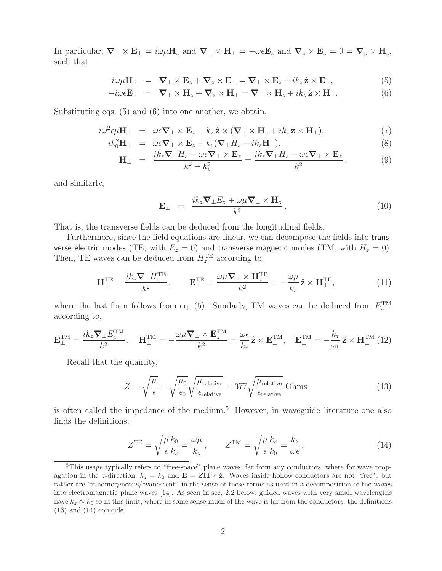In particular,  $\nabla_{\perp} \times \mathbf{E}_{\perp} = i\omega\mu\mathbf{H}_z$  and  $\nabla_{\perp} \times \mathbf{H}_{\perp} = -\omega\epsilon\mathbf{E}_z$  and  $\nabla_z \times \mathbf{E}_z = 0 = \nabla_z \times \mathbf{H}_z$ , such that

$$
i\omega\mu\mathbf{H}_{\perp} = \nabla_{\perp}\times\mathbf{E}_{z} + \nabla_{z}\times\mathbf{E}_{\perp} = \nabla_{\perp}\times\mathbf{E}_{z} + ik_{z}\hat{\mathbf{z}}\times\mathbf{E}_{\perp},
$$
\n(5)

$$
-i\omega \epsilon \mathbf{E}_{\perp} = \nabla_{\perp} \times \mathbf{H}_z + \nabla_z \times \mathbf{H}_{\perp} = \nabla_{\perp} \times \mathbf{H}_z + i k_z \,\hat{\mathbf{z}} \times \mathbf{H}_{\perp}.
$$
 (6)

Substituting eqs. (5) and (6) into one another, we obtain,

$$
i\omega^2 \epsilon \mu \mathbf{H}_{\perp} = \omega \epsilon \nabla_{\perp} \times \mathbf{E}_z - k_z \hat{\mathbf{z}} \times (\nabla_{\perp} \times \mathbf{H}_z + i k_z \hat{\mathbf{z}} \times \mathbf{H}_{\perp}), \tag{7}
$$

$$
ik_0^2 \mathbf{H}_{\perp} = \omega \epsilon \nabla_{\perp} \times \mathbf{E}_z - k_z (\nabla_{\perp} H_z - i k_z \mathbf{H}_{\perp}),
$$
\n(8)

$$
\mathbf{H}_{\perp} = \frac{ik_z \nabla_{\perp} H_z - \omega \epsilon \nabla_{\perp} \times \mathbf{E}_z}{k_0^2 - k_z^2} = \frac{ik_z \nabla_{\perp} H_z - \omega \epsilon \nabla_{\perp} \times \mathbf{E}_z}{k^2},
$$
(9)

and similarly,

$$
\mathbf{E}_{\perp} = \frac{ik_z \nabla_{\perp} E_z + \omega \mu \nabla_{\perp} \times \mathbf{H}_z}{k^2}.
$$
 (10)

That is, the transverse fields can be deduced from the longitudinal fields.

Furthermore, since the field equations are linear, we can decompose the fields into transverse electric modes (TE, with  $E_z = 0$ ) and transverse magnetic modes (TM, with  $H_z = 0$ ). Then, TE waves can be deduced from  $H_z^{\text{TE}}$  according to,

$$
\mathbf{H}_{\perp}^{\mathrm{TE}} = \frac{ik_z \nabla_{\perp} H_z^{\mathrm{TE}}}{k^2}, \qquad \mathbf{E}_{\perp}^{\mathrm{TE}} = \frac{\omega \mu \nabla_{\perp} \times \mathbf{H}_z^{\mathrm{TE}}}{k^2} = -\frac{\omega \mu}{k_z} \hat{\mathbf{z}} \times \mathbf{H}_{\perp}^{\mathrm{TE}}, \tag{11}
$$

where the last form follows from eq. (5). Similarly, TM waves can be deduced from  $E_z^{TM}$ according to,

$$
\mathbf{E}_{\perp}^{\text{TM}} = \frac{ik_z \mathbf{\nabla}_{\perp} E_z^{\text{TM}}}{k^2}, \quad \mathbf{H}_{\perp}^{\text{TM}} = -\frac{\omega \mu \mathbf{\nabla}_{\perp} \times \mathbf{E}_z^{\text{TM}}}{k^2} = \frac{\omega \epsilon}{k_z} \hat{\mathbf{z}} \times \mathbf{E}_{\perp}^{\text{TM}}, \quad \mathbf{E}_{\perp}^{\text{TM}} = -\frac{k_z}{\omega \epsilon} \hat{\mathbf{z}} \times \mathbf{H}_{\perp}^{\text{TM}}. (12)
$$

Recall that the quantity,

$$
Z = \sqrt{\frac{\mu}{\epsilon}} = \sqrt{\frac{\mu_0}{\epsilon_0}} \sqrt{\frac{\mu_{\text{relative}}}{\epsilon_{\text{relative}}}} = 377 \sqrt{\frac{\mu_{\text{relative}}}{\epsilon_{\text{relative}}}} \text{ Ohms}
$$
(13)

is often called the impedance of the medium.<sup>5</sup> However, in waveguide literature one also finds the definitions,

$$
Z^{\text{TE}} = \sqrt{\frac{\mu}{\epsilon}} \frac{k_0}{k_z} = \frac{\omega \mu}{k_z}, \qquad Z^{\text{TM}} = \sqrt{\frac{\mu}{\epsilon}} \frac{k_z}{k_0} = \frac{k_z}{\omega \epsilon}, \qquad (14)
$$

<sup>5</sup>This usage typically refers to "free-space" plane waves, far from any conductors, where for wave propagation in the z-direction,  $k_z = k_0$  and  $\mathbf{E} = Z\mathbf{H} \times \hat{\mathbf{z}}$ . Waves inside hollow conductors are not "free", but rather are "inhomogeneous/evanescent" in the sense of these terms as used in a decomposition of the waves into electromagnetic plane waves [14]. As seen in sec. 2.2 below, guided waves with very small wavelengths have  $k_z \approx k_0$  so in this limit, where in some sense much of the wave is far from the conductors, the definitions  $(13)$  and  $(14)$  coincide.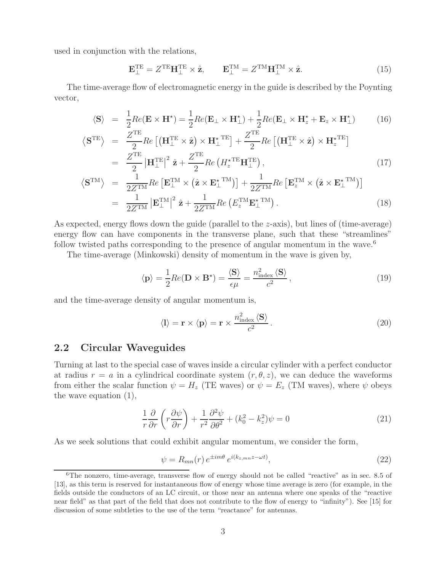used in conjunction with the relations,

$$
\mathbf{E}_{\perp}^{\mathrm{TE}} = Z^{\mathrm{TE}} \mathbf{H}_{\perp}^{\mathrm{TE}} \times \hat{\mathbf{z}}, \qquad \mathbf{E}_{\perp}^{\mathrm{TM}} = Z^{\mathrm{TM}} \mathbf{H}_{\perp}^{\mathrm{TM}} \times \hat{\mathbf{z}}.
$$
 (15)

The time-average flow of electromagnetic energy in the guide is described by the Poynting vector,

$$
\langle \mathbf{S} \rangle = \frac{1}{2} Re(\mathbf{E} \times \mathbf{H}^*) = \frac{1}{2} Re(\mathbf{E}_{\perp} \times \mathbf{H}_{\perp}^*) + \frac{1}{2} Re(\mathbf{E}_{\perp} \times \mathbf{H}_{z}^* + \mathbf{E}_{z} \times \mathbf{H}_{\perp}^*)
$$
(16)

$$
\langle \mathbf{S}^{\text{TE}} \rangle = \frac{Z^{\text{TE}}}{2} Re \left[ \left( \mathbf{H}_{\perp}^{\text{TE}} \times \hat{\mathbf{z}} \right) \times \mathbf{H}_{\perp}^{\star \text{ TE}} \right] + \frac{Z^{\text{TE}}}{2} Re \left[ \left( \mathbf{H}_{\perp}^{\text{TE}} \times \hat{\mathbf{z}} \right) \times \mathbf{H}_{z}^{\star \text{TE}} \right]
$$
  
= 
$$
\frac{Z^{\text{TE}}}{2} \left| \mathbf{H}_{\perp}^{\text{TE}} \right|^{2} \hat{\mathbf{z}} + \frac{Z^{\text{TE}}}{2} Re \left( H_{z}^{\star \text{TE}} \mathbf{H}_{\perp}^{\text{TE}} \right), \tag{17}
$$

$$
\langle \mathbf{S}^{TM} \rangle = \frac{1}{2Z^{TM}} Re \left[ \mathbf{E}_{\perp}^{TM} \times (\hat{\mathbf{z}} \times \mathbf{E}_{\perp}^{*TM}) \right] + \frac{1}{2Z^{TM}} Re \left[ \mathbf{E}_{z}^{TM} \times (\hat{\mathbf{z}} \times \mathbf{E}_{\perp}^{*TM}) \right]
$$
  
= 
$$
\frac{1}{2Z^{TM}} |\mathbf{E}_{\perp}^{TM}|^{2} \hat{\mathbf{z}} + \frac{1}{2Z^{TM}} Re \left( E_{z}^{TM} \mathbf{E}_{\perp}^{*TM} \right).
$$
 (18)

As expected, energy flows down the guide (parallel to the z-axis), but lines of (time-average) energy flow can have components in the transverse plane, such that these "streamlines" follow twisted paths corresponding to the presence of angular momentum in the wave.<sup>6</sup>

The time-average (Minkowski) density of momentum in the wave is given by,

$$
\langle \mathbf{p} \rangle = \frac{1}{2} Re(\mathbf{D} \times \mathbf{B}^*) = \frac{\langle \mathbf{S} \rangle}{\epsilon \mu} = \frac{n_{\text{index}}^2 \langle \mathbf{S} \rangle}{c^2},\tag{19}
$$

and the time-average density of angular momentum is,

$$
\langle \mathbf{l} \rangle = \mathbf{r} \times \langle \mathbf{p} \rangle = \mathbf{r} \times \frac{n_{\text{index}}^2 \langle \mathbf{S} \rangle}{c^2}.
$$
 (20)

### **2.2 Circular Waveguides**

Turning at last to the special case of waves inside a circular cylinder with a perfect conductor at radius  $r = a$  in a cylindrical coordinate system  $(r, \theta, z)$ , we can deduce the waveforms from either the scalar function  $\psi = H_z$  (TE waves) or  $\psi = E_z$  (TM waves), where  $\psi$  obeys the wave equation (1),

$$
\frac{1}{r}\frac{\partial}{\partial r}\left(r\frac{\partial\psi}{\partial r}\right) + \frac{1}{r^2}\frac{\partial^2\psi}{\partial\theta^2} + (k_0^2 - k_z^2)\psi = 0\tag{21}
$$

As we seek solutions that could exhibit angular momentum, we consider the form,

$$
\psi = R_{mn}(r) e^{\pm im\theta} e^{i(k_{z,mn}z - \omega t)},\tag{22}
$$

<sup>6</sup>The nonzero, time-average, transverse flow of energy should not be called "reactive" as in sec. 8.5 of [13], as this term is reserved for instantaneous flow of energy whose time average is zero (for example, in the fields outside the conductors of an LC circuit, or those near an antenna where one speaks of the "reactive near field" as that part of the field that does not contribute to the flow of energy to "infinity"). See [15] for discussion of some subtleties to the use of the term "reactance" for antennas.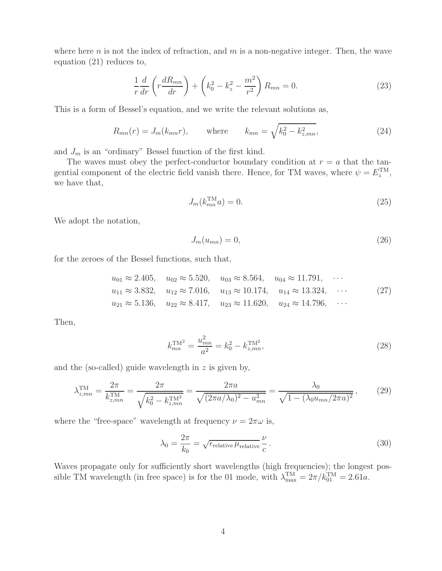where here n is not the index of refraction, and  $m$  is a non-negative integer. Then, the wave equation (21) reduces to,

$$
\frac{1}{r}\frac{d}{dr}\left(r\frac{dR_{mn}}{dr}\right) + \left(k_0^2 - k_z^2 - \frac{m^2}{r^2}\right)R_{mn} = 0.
$$
\n(23)

This is a form of Bessel's equation, and we write the relevant solutions as,

$$
R_{mn}(r) = J_m(k_{mn}r)
$$
, where  $k_{mn} = \sqrt{k_0^2 - k_{z,mn}^2}$ , (24)

and  $J_m$  is an "ordinary" Bessel function of the first kind.

The waves must obey the perfect-conductor boundary condition at  $r = a$  that the tangential component of the electric field vanish there. Hence, for TM waves, where  $\psi = E_z^{\text{TM}}$ , we have that,

$$
J_m(k_{mn}^{\text{TM}}a) = 0. \tag{25}
$$

We adopt the notation,

$$
J_m(u_{mn}) = 0,\t\t(26)
$$

for the zeroes of the Bessel functions, such that,

$$
u_{01} \approx 2.405
$$
,  $u_{02} \approx 5.520$ ,  $u_{03} \approx 8.564$ ,  $u_{04} \approx 11.791$ ,  $\cdots$   
\n $u_{11} \approx 3.832$ ,  $u_{12} \approx 7.016$ ,  $u_{13} \approx 10.174$ ,  $u_{14} \approx 13.324$ ,  $\cdots$  (27)  
\n $u_{21} \approx 5.136$ ,  $u_{22} \approx 8.417$ ,  $u_{23} \approx 11.620$ ,  $u_{24} \approx 14.796$ ,  $\cdots$ 

Then,

$$
k_{mn}^{\text{TM}^2} = \frac{u_{mn}^2}{a^2} = k_0^2 - k_{z,mn}^{\text{TM}^2},\tag{28}
$$

and the (so-called) guide wavelength in  $z$  is given by,

$$
\lambda_{z,mn}^{\text{TM}} = \frac{2\pi}{k_{z,mn}^{\text{TM}}} = \frac{2\pi}{\sqrt{k_0^2 - k_{z,mn}^{\text{TM}^2}}} = \frac{2\pi a}{\sqrt{(2\pi a/\lambda_0)^2 - u_{mn}^2}} = \frac{\lambda_0}{\sqrt{1 - (\lambda_0 u_{mn}/2\pi a)^2}},\tag{29}
$$

where the "free-space" wavelength at frequency  $\nu = 2\pi\omega$  is,

$$
\lambda_0 = \frac{2\pi}{k_0} = \sqrt{\epsilon_{\text{relative}} \mu_{\text{relative}}} \frac{\nu}{c}.
$$
\n(30)

Waves propagate only for sufficiently short wavelengths (high frequencies); the longest possible TM wavelength (in free space) is for the 01 mode, with  $\lambda_{\text{max}}^{\text{TM}} = 2\pi/k_{01}^{\text{TM}} = 2.61a$ .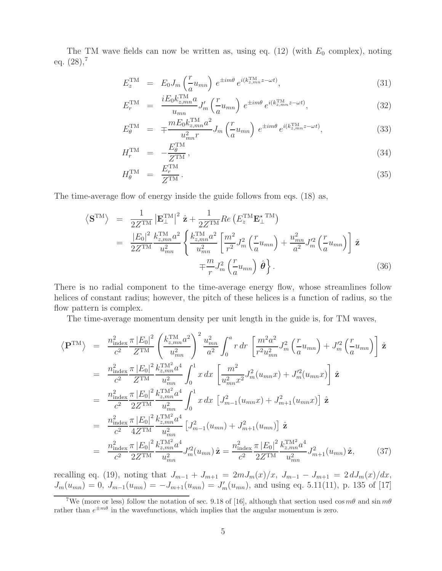The TM wave fields can now be written as, using eq.  $(12)$  (with  $E_0$  complex), noting eq.  $(28),^7$ 

$$
E_z^{\text{TM}} = E_0 J_m \left(\frac{r}{a} u_{mn}\right) e^{\pm im\theta} e^{i(k_{z,mn}^{\text{TM}} z - \omega t)}, \tag{31}
$$

$$
E_r^{\text{TM}} = \frac{iE_0 k_{z,mn}^{\text{TM}} a}{u_{mn}} J'_m \left(\frac{r}{a} u_{mn}\right) e^{\pm im\theta} e^{i(k_{z,mn}^{\text{TM}} z - \omega t)}, \tag{32}
$$

$$
E_{\theta}^{\text{TM}} = \mp \frac{m E_0 k_{z,mn}^{\text{TM}} a^2}{u_{mn}^2 r} J_m \left(\frac{r}{a} u_{mn}\right) e^{\pm im\theta} e^{i(k_{z,mn}^{\text{TM}} z - \omega t)}, \tag{33}
$$

$$
H_r^{\rm TM} = -\frac{E_\theta^{\rm TM}}{Z^{\rm TM}},\tag{34}
$$

$$
H_{\theta}^{\text{TM}} = \frac{E_r^{\text{TM}}}{Z^{\text{TM}}}.
$$
\n(35)

The time-average flow of energy inside the guide follows from eqs. (18) as,

$$
\langle \mathbf{S}^{TM} \rangle = \frac{1}{2Z^{TM}} \left| \mathbf{E}_{\perp}^{TM} \right|^2 \hat{\mathbf{z}} + \frac{1}{2Z^{TM}} Re \left( E_z^{TM} \mathbf{E}_{\perp}^{*TM} \right)
$$
  
\n
$$
= \frac{|E_0|^2}{2Z^{TM}} \frac{k_{z,mn}^{TM} a^2}{u_{mn}^2} \left\{ \frac{k_{z,mn}^{TM} a^2}{u_{mn}^2} \left[ \frac{m^2}{r^2} J_m^2 \left( \frac{r}{a} u_{mn} \right) + \frac{u_{mn}^2}{a^2} J_m'^2 \left( \frac{r}{a} u_{mn} \right) \right] \hat{\mathbf{z}} + \frac{m}{r} J_m^2 \left( \frac{r}{a} u_{mn} \right) \hat{\boldsymbol{\theta}} \right\}.
$$
 (36)

There is no radial component to the time-average energy flow, whose streamlines follow helices of constant radius; however, the pitch of these helices is a function of radius, so the flow pattern is complex.

The time-average momentum density per unit length in the guide is, for TM waves,

$$
\langle \mathbf{P}^{\text{TM}} \rangle = \frac{n_{\text{index}}^2 \pi |E_0|^2}{c^2} \left( \frac{k_{z,mn}^{\text{TM}} a^2}{u_{mn}^2} \right)^2 \frac{u_{mn}^2}{a^2} \int_0^a r \, dr \left[ \frac{m^2 a^2}{r^2 u_{mn}^2} J_m^2 \left( \frac{r}{a} u_{mn} \right) + J_m'^2 \left( \frac{r}{a} u_{mn} \right) \right] \hat{\mathbf{z}}
$$
  
\n
$$
= \frac{n_{\text{index}}^2 \pi |E_0|^2}{c^2} \frac{k_{z,mn}^{\text{TM}} a^4}{Z^{\text{TM}}} \int_0^1 x \, dx \left[ \frac{m^2}{u_{mn}^2 x^2} J_m^2 (u_{mn} x) + J_m'^2 (u_{mn} x) \right] \hat{\mathbf{z}}
$$
  
\n
$$
= \frac{n_{\text{index}}^2 \pi |E_0|^2}{c^2} \frac{k_{z,mn}^{\text{TM}} a^4}{2Z^{\text{TM}}} \int_0^1 x \, dx \left[ J_{m-1}^2 (u_{mn} x) + J_{m+1}^2 (u_{mn} x) \right] \hat{\mathbf{z}}
$$
  
\n
$$
= \frac{n_{\text{index}}^2 \pi |E_0|^2}{c^2} \frac{k_{z,mn}^{\text{TM}} a^4}{4Z^{\text{TM}}} \left[ J_{m-1}^2 (u_{mn}) + J_{m+1}^2 (u_{mn}) \right] \hat{\mathbf{z}}
$$
  
\n
$$
= \frac{n_{\text{index}}^2 \pi |E_0|^2}{c^2} \frac{k_{z,mn}^{\text{TM}} a^4}{2Z^{\text{TM}}} J_m'^2 (u_{mn}) \hat{\mathbf{z}} = \frac{n_{\text{index}}^2 \pi |E_0|^2}{c^2} \frac{k_{z,mn}^{\text{TM}} a^4}{2Z^{\text{TM}}} J_{m+1}^2 (u_{mn}) \hat{\mathbf{z}}, \qquad (37)
$$

recalling eq. (19), noting that  $J_{m-1} + J_{m+1} = 2mJ_m(x)/x$ ,  $J_{m-1} - J_{m+1} = 2dJ_m(x)/dx$ ,<br>  $J_m(u_{mn}) = 0$ ,  $J_{m-1}(u_{mn}) = -J_{m+1}(u_{mn}) = J'_m(u_{mn})$ , and using eq. 5.11(11), p. 135 of [17]

<sup>&</sup>lt;sup>7</sup>We (more or less) follow the notation of sec. 9.18 of [16], although that section used cos  $m\theta$  and sin  $m\theta$ rather than  $e^{\pm m\theta}$  in the wavefunctions, which implies that the angular momentum is zero.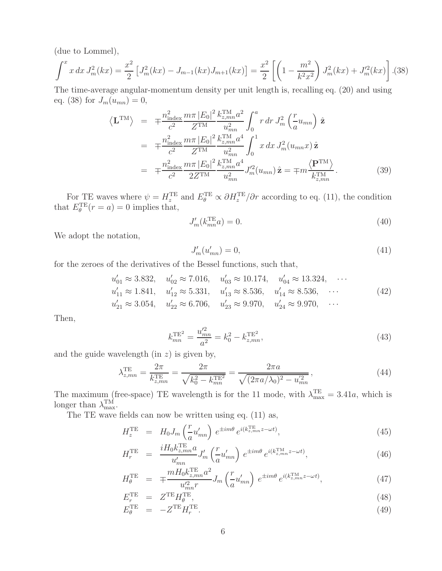(due to Lommel),

$$
\int^x x \, dx \, J_m^2(kx) = \frac{x^2}{2} \left[ J_m^2(kx) - J_{m-1}(kx) J_{m+1}(kx) \right] = \frac{x^2}{2} \left[ \left( 1 - \frac{m^2}{k^2 x^2} \right) J_m^2(kx) + J_m'^2(kx) \right]. \tag{38}
$$

The time-average angular-momentum density per unit length is, recalling eq. (20) and using eq. (38) for  $J_m(u_{mn}) = 0$ ,

$$
\langle \mathbf{L}^{\text{TM}} \rangle = \mp \frac{n_{\text{index}}^2}{c^2} \frac{m \pi |E_0|^2}{Z^{\text{TM}}} \frac{k_{z,mn}^{\text{TM}} a^2}{u_{mn}^2} \int_0^a r \, dr \, J_m^2 \left( \frac{r}{a} u_{mn} \right) \hat{\mathbf{z}} \n= \mp \frac{n_{\text{index}}^2 m \pi |E_0|^2}{c^2} \frac{k_{z,mn}^{\text{TM}} a^4}{Z^{\text{TM}}} \int_0^1 x \, dx \, J_m^2(u_{mn} x) \hat{\mathbf{z}} \n= \mp \frac{n_{\text{index}}^2 m \pi |E_0|^2}{c^2} \frac{k_{z,mn}^{\text{TM}} a^4}{2Z^{\text{TM}}} J_m'^2(u_{mn}) \hat{\mathbf{z}} = \mp m \frac{\langle \mathbf{P}^{\text{TM}} \rangle}{k_{z,mn}^{\text{TM}}}.
$$
\n(39)

For TE waves where  $\psi = H_z^{\text{TE}}$  and  $E_{\theta}^{\text{TE}} \propto \partial H_z^{\text{TE}}/\partial r$  according to eq. (11), the condition that  $E_{\theta}^{\text{TE}}(r=a) = 0$  implies that,

$$
J'_m(k_{mn}^{\text{TE}}a) = 0. \tag{40}
$$

We adopt the notation,

$$
J'_m(u'_{mn}) = 0,\t\t(41)
$$

for the zeroes of the derivatives of the Bessel functions, such that,

$$
u'_{01} \approx 3.832, \quad u'_{02} \approx 7.016, \quad u'_{03} \approx 10.174, \quad u'_{04} \approx 13.324, \quad \cdots
$$
  
\n
$$
u'_{11} \approx 1.841, \quad u'_{12} \approx 5.331, \quad u'_{13} \approx 8.536, \quad u'_{14} \approx 8.536, \quad \cdots
$$
  
\n
$$
u'_{21} \approx 3.054, \quad u'_{22} \approx 6.706, \quad u'_{23} \approx 9.970, \quad u'_{24} \approx 9.970, \quad \cdots
$$
\n(42)

Then,

$$
k_{mn}^{\text{TE}^2} = \frac{u_{mn}^{\prime 2}}{a^2} = k_0^2 - k_{z,mn}^{\text{TE}^2},\tag{43}
$$

and the guide wavelength  $(in z)$  is given by,

$$
\lambda_{z,mn}^{\text{TE}} = \frac{2\pi}{k_{z,mn}^{\text{TE}}} = \frac{2\pi}{\sqrt{k_0^2 - k_{mn}^{\text{TE}}}} = \frac{2\pi a}{\sqrt{(2\pi a/\lambda_0)^2 - u_{mn}^{'2}}},\tag{44}
$$

The maximum (free-space) TE wavelength is for the 11 mode, with  $\lambda_{\text{max}}^{\text{TE}} = 3.41a$ , which is longer than  $\lambda_{\text{max}}^{\text{TM}}$ .

The TE wave fields can now be written using eq. (11) as,

$$
H_z^{\text{TE}} = H_0 J_m \left(\frac{r}{a} u'_{mn}\right) e^{\pm im\theta} e^{i(k_{z,mn}^{\text{TE}} z - \omega t)},\tag{45}
$$

$$
H_r^{\text{TE}} = \frac{iH_0 k_{z,mn}^{\text{TE}} a}{u'_{mn}} J'_m \left(\frac{r}{a} u'_{mn}\right) e^{\pm im\theta} e^{i(k_{z,mn}^{\text{TM}} z - \omega t)},\tag{46}
$$

$$
H_{\theta}^{\text{TE}} = \mp \frac{m H_0 k_{z,mn}^{\text{TE}} a^2}{u_{nn}^2 r} J_m \left(\frac{r}{a} u'_{mn}\right) e^{\pm im\theta} e^{i(k_{z,mn}^{\text{TM}} z - \omega t)}, \tag{47}
$$

$$
E_r^{\text{TE}} = Z^{\text{TE}} H_\theta^{\text{TE}},
$$
  
\n
$$
E_\theta^{\text{TE}} = -Z^{\text{TE}} H_r^{\text{TE}}.
$$
\n(48)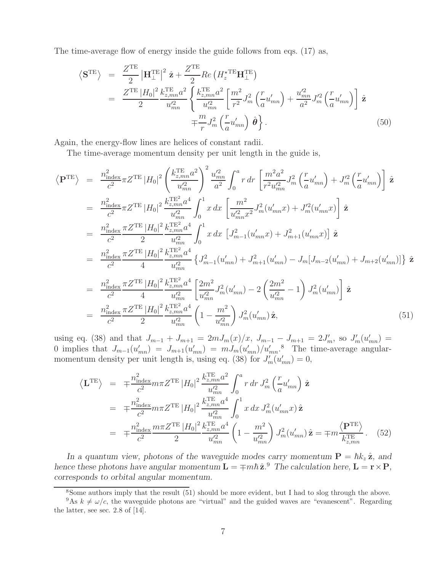The time-average flow of energy inside the guide follows from eqs. (17) as,

$$
\langle \mathbf{S}^{\text{TE}} \rangle = \frac{Z^{\text{TE}}}{2} |\mathbf{H}_{\perp}^{\text{TE}}|^2 \hat{\mathbf{z}} + \frac{Z^{\text{TE}}}{2} Re \left( H_z^{\star \text{TE}} \mathbf{H}_{\perp}^{\text{TE}} \right)
$$
  
\n
$$
= \frac{Z^{\text{TE}} |H_0|^2 k_{z,mn}^{\text{TE}} a^2}{2} \left\{ \frac{k_{z,mn}^{\text{TE}} a^2}{u_{mn}^2} \left[ \frac{m^2}{r^2} J_m^2 \left( \frac{r}{a} u_{mn}' \right) + \frac{u_{mn}^{\prime 2}}{a^2} J_m^{\prime 2} \left( \frac{r}{a} u_{mn}' \right) \right] \hat{\mathbf{z}} \right\}
$$
  
\n
$$
+ \frac{m}{r} J_m^2 \left( \frac{r}{a} u_{mn}' \right) \hat{\boldsymbol{\theta}} \right\}.
$$
 (50)

Again, the energy-flow lines are helices of constant radii.

The time-average momentum density per unit length in the guide is,

$$
\langle \mathbf{P}^{\text{TE}} \rangle = \frac{n_{\text{index}}^2}{c^2} \pi Z^{\text{TE}} |H_0|^2 \left( \frac{k_{z,mn}^{\text{TE}} a^2}{u_{mn}^2} \right)^2 \frac{u_{mn}^2}{a^2} \int_0^a r \, dr \left[ \frac{m^2 a^2}{r^2 u_{mn}^2} J_m^2 \left( \frac{r}{a} u_{mn}' \right) + J_m'^2 \left( \frac{r}{a} u_{mn}' \right) \right] \hat{\mathbf{z}}
$$
  
\n
$$
= \frac{n_{\text{index}}^2}{c^2} \pi Z^{\text{TE}} |H_0|^2 \frac{k_{z,mn}^{\text{TE}} a^4}{u_{mn}^2} \int_0^1 x \, dx \left[ \frac{m^2}{u_{mn}^2 x^2} J_m^2 (u_{mn}' x) + J_m'^2 (u_{mn}' x) \right] \hat{\mathbf{z}}
$$
  
\n
$$
= \frac{n_{\text{index}}^2}{c^2} \frac{\pi Z^{\text{TE}} |H_0|^2}{2} \frac{k_{z,mn}^{\text{TE}} a^4}{u_{mn}^2} \int_0^1 x \, dx \left[ J_{m-1}^2 (u_{mn}' x) + J_{m+1}^2 (u_{mn}' x) \right] \hat{\mathbf{z}}
$$
  
\n
$$
= \frac{n_{\text{index}}^2}{c^2} \frac{\pi Z^{\text{TE}} |H_0|^2}{4} \frac{k_{z,mn}^{\text{TE}} a^4}{u_{mn}^2} \left\{ J_{m-1}^2 (u_{mn}' ) + J_{m+1}^2 (u_{mn}' ) - J_m [J_{m-2} (u_{mn} ' ) + J_{m+2} (u_{mn}' )] \right\} \hat{\mathbf{z}}
$$
  
\n
$$
= \frac{n_{\text{index}}^2}{c^2} \frac{\pi Z^{\text{TE}} |H_0|^2}{4} \frac{k_{z,mn}^{\text{TE}} a^4}{u_{mn}^2} \left[ \frac{2m^2}{u_{mn}^2} J_m^2 (u_{mn}' ) - 2 \left( \frac{2m^2}{u_{mn}^2} - 1 \right) J_m^2 (u_{mn}' ) \right] \hat{\mathbf{z}}
$$
  
\n
$$
= \frac{n_{\text{index}}
$$

using eq. (38) and that  $J_{m-1} + J_{m+1} = 2mJ_m(x)/x$ ,  $J_{m-1} - J_{m+1} = 2J'_m$ , so  $J'_m(u'_{mn}) =$ <br>0. implies that  $J_{m-1}(u') = J_{m-1}(u') = mJ_n(u')/u'$ ,  $\overset{8}{\phantom{8}}$ . The time average applier 0 implies that  $J_{m-1}(u'_{mn}) = J_{m+1}(u'_{mn}) = mJ_m(u'_{mn})/u'_{mn}$ <sup>8</sup>. The time-average angular-<br>momentum density per unit length is using eq. (38) for  $J'(u') = 0$ momentum density per unit length is, using eq. (38) for  $J'_m(u'_{mn}) = 0$ ,

$$
\langle \mathbf{L}^{\text{TE}} \rangle = \mp \frac{n_{\text{index}}^2}{c^2} m \pi Z^{\text{TE}} |H_0|^2 \frac{k_{z,mn}^{\text{TE}} a^2}{u_{mn}^2} \int_0^a r \, dr \, J_m^2 \left( \frac{r}{a} u_{mn}' \right) \hat{\mathbf{z}}
$$
  
\n
$$
= \mp \frac{n_{\text{index}}^2}{c^2} m \pi Z^{\text{TE}} |H_0|^2 \frac{k_{z,mn}^{\text{TE}} a^4}{u_{mn}^2} \int_0^1 x \, dx \, J_m^2(u_{mn}'x) \hat{\mathbf{z}}
$$
  
\n
$$
= \mp \frac{n_{\text{index}}^2 m \pi Z^{\text{TE}} |H_0|^2 k_{z,mn}^{\text{TE}} a^4}{c^2} \left( 1 - \frac{m^2}{u_{mn}^2} \right) J_m^2(u_{mn}') \hat{\mathbf{z}} = \mp m \frac{\langle \mathbf{P}^{\text{TE}} \rangle}{k_{z,mn}^{\text{TE}}} . \tag{52}
$$

*In a quantum view, photons of the waveguide modes carry momentum*  $\mathbf{P} = \hbar k_z \hat{\mathbf{z}}$ *, and* as these relative here  $\mathbf{I}$ ,  $\mathbf{E} = \mathbf{E} \hat{\mathbf{z}}$   $\mathbf{B}$ . The solution here  $\mathbf{I}$ ,  $\mathbf{E} \times \mathbf{B}$ *hence these photons have angular momentum*  $\mathbf{L} = \mp m\hbar \hat{\mathbf{z}}$ .<sup>9</sup> *The calculation here*,  $\mathbf{L} = \mathbf{r} \times \mathbf{P}$ *, corresponds to orbital angular momentum.*

<sup>8</sup>Some authors imply that the result (51) should be more evident, but I had to slog through the above.

<sup>&</sup>lt;sup>9</sup>As  $k \neq \omega/c$ , the waveguide photons are "virtual" and the guided waves are "evanescent". Regarding the latter, see sec. 2.8 of [14].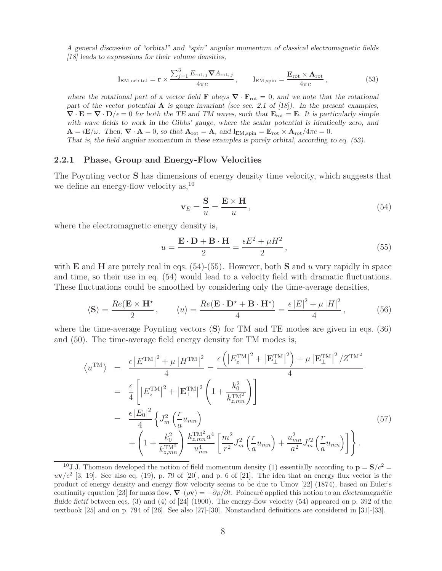*A general discussion of "orbital" and "spin" angular momentum of classical electromagnetic fields [18] leads to expressions for their volume densities,*

$$
l_{\text{EM},\text{orbital}} = \mathbf{r} \times \frac{\sum_{j=1}^{3} E_{\text{rot},j} \nabla A_{\text{rot},j}}{4\pi c}, \qquad l_{\text{EM},\text{spin}} = \frac{\mathbf{E}_{\text{rot}} \times \mathbf{A}_{\text{rot}}}{4\pi c}, \tag{53}
$$

*where the rotational part of a vector field* **F** *obeys*  $\nabla \cdot \mathbf{F}_{\text{rot}} = 0$ *, and we note that the rotational part of the vector potential* **A** *is gauge invariant (see sec. 2.1 of [18]). In the present examples,*  $\nabla \cdot \mathbf{E} = \nabla \cdot \mathbf{D}/\epsilon = 0$  for both the TE and TM waves, such that  $\mathbf{E}_{\text{rot}} = \mathbf{E}$ . It is particularly simple *with wave fields to work in the Gibbs' gauge, where the scalar potential is identically zero, and*  $\mathbf{A} = i\mathbf{E}/\omega$ . Then,  $\nabla \cdot \mathbf{A} = 0$ , so that  $\mathbf{A}_{\text{rot}} = \mathbf{A}$ , and  $\mathbf{l}_{\text{EM,spin}} = \mathbf{E}_{\text{rot}} \times \mathbf{A}_{\text{rot}}/4\pi c = 0$ . *That is, the field angular momentum in these examples is purely orbital, according to eq. (53).*

#### **2.2.1 Phase, Group and Energy-Flow Velocities**

The Poynting vector **S** has dimensions of energy density time velocity, which suggests that we define an energy-flow velocity as, <sup>10</sup>

$$
\mathbf{v}_E = \frac{\mathbf{S}}{u} = \frac{\mathbf{E} \times \mathbf{H}}{u},\tag{54}
$$

where the electromagnetic energy density is,

$$
u = \frac{\mathbf{E} \cdot \mathbf{D} + \mathbf{B} \cdot \mathbf{H}}{2} = \frac{\epsilon E^2 + \mu H^2}{2},\tag{55}
$$

with **E** and **H** are purely real in eqs.  $(54)-(55)$ . However, both **S** and u vary rapidly in space and time, so their use in eq. (54) would lead to a velocity field with dramatic fluctuations. These fluctuations could be smoothed by considering only the time-average densities,

$$
\langle \mathbf{S} \rangle = \frac{Re(\mathbf{E} \times \mathbf{H}^*)}{2}, \qquad \langle u \rangle = \frac{Re(\mathbf{E} \cdot \mathbf{D}^* + \mathbf{B} \cdot \mathbf{H}^*)}{4} = \frac{\epsilon |E|^2 + \mu |H|^2}{4}, \tag{56}
$$

where the time-average Poynting vectors  $\langle S \rangle$  for TM and TE modes are given in eqs. (36) and (50). The time-average field energy density for TM modes is,

$$
\langle u^{\text{TM}} \rangle = \frac{\epsilon |E^{\text{TM}}|^2 + \mu |H^{\text{TM}}|^2}{4} = \frac{\epsilon \left( |E_z^{\text{TM}}|^2 + |\mathbf{E}_{\perp}^{\text{TM}}|^2 \right) + \mu |\mathbf{E}_{\perp}^{\text{TM}}|^2 / Z^{\text{TM}}}{4}
$$
  
\n
$$
= \frac{\epsilon}{4} \left[ |E_z^{\text{TM}}|^2 + |\mathbf{E}_{\perp}^{\text{TM}}|^2 \left( 1 + \frac{k_0^2}{k_{z,mn}^{\text{TM2}}} \right) \right]
$$
  
\n
$$
= \frac{\epsilon |E_0|^2}{4} \left\{ J_m^2 \left( \frac{r}{a} u_{mn} \right) + \left( 1 + \frac{k_0^2}{k_{z,mn}^{\text{TM2}}} \right) \frac{k_{z,mn}^{\text{TM2}} a^4}{u_{mn}^4} \left[ \frac{m^2}{r^2} J_m^2 \left( \frac{r}{a} u_{mn} \right) + \frac{u_{mn}^2}{a^2} J_m'^2 \left( \frac{r}{a} u_{mn} \right) \right] \right\}.
$$
  
\n(57)

<sup>&</sup>lt;sup>10</sup>J.J. Thomson developed the notion of field momentum density (1) essentially according to  $\mathbf{p} = \mathbf{S}/c^2 =$  $uv/c^2$  [3, 19]. See also eq. (19), p. 79 of [20], and p. 6 of [21]. The idea that an energy flux vector is the product of energy density and energy flow velocity seems to be due to Umov [22] (1874), based on Euler's continuity equation [23] for mass flow,  $\nabla \cdot (\rho \mathbf{v}) = -\partial \rho / \partial t$ . Poincaré applied this notion to an *électromagnétic fluide fictif* between eqs. (3) and (4) of [24] (1900). The energy-flow velocity (54) appeared on p. 392 of the textbook [25] and on p. 794 of [26]. See also [27]-[30]. Nonstandard definitions are considered in [31]-[33].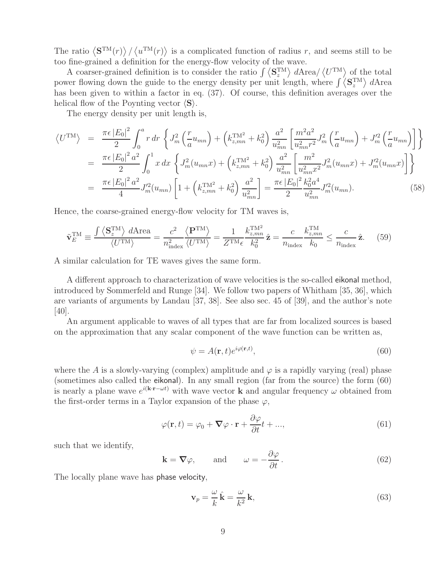The ratio  $\langle \mathbf{S}^{TM}(r) \rangle / \langle u^{TM}(r) \rangle$  is a complicated function of radius r, and seems still to be too fine-grained a definition for the energy-flow velocity of the wave.

A coarser-grained definition is to consider the ratio  $\int \langle S_z^{TM} \rangle dA \text{rea}/\langle U^{TM} \rangle$  of the total power flowing down the guide to the energy density per unit length, where  $\int \langle S_z^{TM} \rangle dA$ rea has been given to within a factor in eq. (37). Of course, this definition averages over the helical flow of the Poynting vector  $\langle S \rangle$ .

The energy density per unit length is,

$$
\langle U^{\text{TM}} \rangle = \frac{\pi \epsilon |E_0|^2}{2} \int_0^a r \, dr \left\{ J_m^2 \left( \frac{r}{a} u_{mn} \right) + \left( k_{z,mn}^{\text{TM}^2} + k_0^2 \right) \frac{a^2}{u_{mn}^2} \left[ \frac{m^2 a^2}{u_{mn}^2 r^2} J_m^2 \left( \frac{r}{a} u_{mn} \right) + J_m'^2 \left( \frac{r}{a} u_{mn} \right) \right] \right\}
$$
  
\n
$$
= \frac{\pi \epsilon |E_0|^2 a^2}{2} \int_0^1 x \, dx \left\{ J_m^2 (u_{mn} x) + \left( k_{z,mn}^{\text{TM}^2} + k_0^2 \right) \frac{a^2}{u_{mn}^2} \left[ \frac{m^2}{u_{mn}^2 x^2} J_m^2 (u_{mn} x) + J_m'^2 (u_{mn} x) \right] \right\}
$$
  
\n
$$
= \frac{\pi \epsilon |E_0|^2 a^2}{4} J_m'^2 (u_{mn}) \left[ 1 + \left( k_{z,mn}^{\text{TM}^2} + k_0^2 \right) \frac{a^2}{u_{mn}^2} \right] = \frac{\pi \epsilon |E_0|^2 k_0^2 a^4}{u_{mn}^2} J_m'^2 (u_{mn}). \tag{58}
$$

Hence, the coarse-grained energy-flow velocity for TM waves is,

$$
\tilde{\mathbf{v}}_E^{\text{TM}} \equiv \frac{\int \left\langle \mathbf{S}_z^{\text{TM}} \right\rangle d\text{Area}}{\langle U^{\text{TM}} \rangle} = \frac{c^2}{n_{\text{index}}^2} \frac{\left\langle \mathbf{P}^{\text{TM}} \right\rangle}{\langle U^{\text{TM}} \rangle} = \frac{1}{Z^{\text{TM}} \epsilon} \frac{k_{z,mn}^{\text{TM}^2}}{k_0^2} \hat{\mathbf{z}} = \frac{c}{n_{\text{index}}} \frac{k_{z,mn}^{\text{TM}}}{k_0} \le \frac{c}{n_{\text{index}}} \hat{\mathbf{z}}. \tag{59}
$$

A similar calculation for TE waves gives the same form.

A different approach to characterization of wave velocities is the so-called eikonal method, introduced by Sommerfeld and Runge [34]. We follow two papers of Whitham [35, 36], which are variants of arguments by Landau [37, 38]. See also sec. 45 of [39], and the author's note [40].

An argument applicable to waves of all types that are far from localized sources is based on the approximation that any scalar component of the wave function can be written as,

$$
\psi = A(\mathbf{r}, t)e^{i\varphi(\mathbf{r}, t)},\tag{60}
$$

where the A is a slowly-varying (complex) amplitude and  $\varphi$  is a rapidly varying (real) phase (sometimes also called the eikonal). In any small region (far from the source) the form (60) is nearly a plane wave  $e^{i(\mathbf{k}\cdot\mathbf{r}-\omega t)}$  with wave vector **k** and angular frequency  $\omega$  obtained from the first-order terms in a Taylor expansion of the phase  $\varphi$ ,

$$
\varphi(\mathbf{r},t) = \varphi_0 + \nabla \varphi \cdot \mathbf{r} + \frac{\partial \varphi}{\partial t}t + ..., \qquad (61)
$$

such that we identify,

$$
\mathbf{k} = \nabla \varphi, \quad \text{and} \quad \omega = -\frac{\partial \varphi}{\partial t}.
$$
 (62)

The locally plane wave has phase velocity,

$$
\mathbf{v}_p = \frac{\omega}{k} \hat{\mathbf{k}} = \frac{\omega}{k^2} \mathbf{k},\tag{63}
$$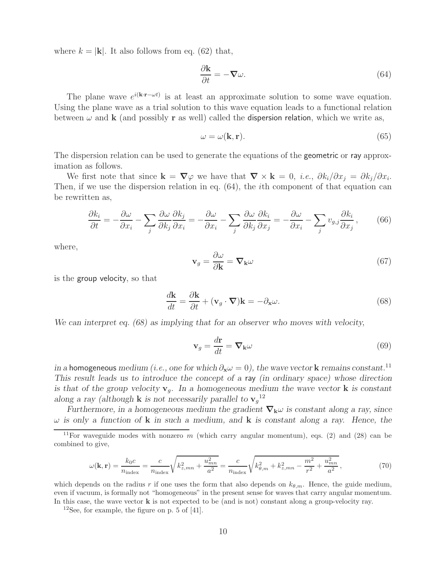where  $k = |\mathbf{k}|$ . It also follows from eq. (62) that,

$$
\frac{\partial \mathbf{k}}{\partial t} = -\nabla \omega. \tag{64}
$$

The plane wave  $e^{i(k \cdot \mathbf{r} - \omega t)}$  is at least an approximate solution to some wave equation. Using the plane wave as a trial solution to this wave equation leads to a functional relation between  $\omega$  and **k** (and possibly **r** as well) called the **dispersion relation**, which we write as,

$$
\omega = \omega(\mathbf{k}, \mathbf{r}).\tag{65}
$$

The dispersion relation can be used to generate the equations of the **geometric** or ray approximation as follows.

We first note that since  $\mathbf{k} = \nabla \varphi$  we have that  $\nabla \times \mathbf{k} = 0$ , *i.e.*,  $\partial k_i / \partial x_i = \partial k_i / \partial x_i$ . Then, if we use the dispersion relation in eq. (64), the ith component of that equation can be rewritten as,

$$
\frac{\partial k_i}{\partial t} = -\frac{\partial \omega}{\partial x_i} - \sum_j \frac{\partial \omega}{\partial k_j} \frac{\partial k_j}{\partial x_i} = -\frac{\partial \omega}{\partial x_i} - \sum_j \frac{\partial \omega}{\partial k_j} \frac{\partial k_i}{\partial x_j} = -\frac{\partial \omega}{\partial x_i} - \sum_j v_{g,j} \frac{\partial k_i}{\partial x_j},\tag{66}
$$

where,

$$
\mathbf{v}_g = \frac{\partial \omega}{\partial \mathbf{k}} = \nabla_{\mathbf{k}} \omega \tag{67}
$$

is the group velocity, so that

$$
\frac{d\mathbf{k}}{dt} = \frac{\partial \mathbf{k}}{\partial t} + (\mathbf{v}_g \cdot \boldsymbol{\nabla})\mathbf{k} = -\partial_{\mathbf{x}}\omega.
$$
 (68)

*We can interpret eq. (68) as implying that for an observer who moves with velocity,*

$$
\mathbf{v}_g = \frac{d\mathbf{r}}{dt} = \nabla_\mathbf{k} \omega \tag{69}
$$

*in a* homogeneous *medium (i.e., one for which*  $\partial_{x} \omega = 0$ ), the wave vector **k** *remains constant.*<sup>11</sup> *This result leads us to introduce the concept of a* ray *(in ordinary space) whose direction* is that of the group velocity  $\mathbf{v}_q$ . In a homogeneous medium the wave vector **k** is constant *along a ray (although* **k** *is not necessarily parallel to*  $\mathbf{v}_g^{12}$ 

*Furthermore, in a homogeneous medium the gradient <sup>∇</sup>***k**<sup>ω</sup> *is constant along a ray, since* ω *is only a function of* **k** *in such a medium, and* **k** *is constant along a ray. Hence, the*

$$
\omega(\mathbf{k}, \mathbf{r}) = \frac{k_0 c}{n_{\text{index}}} = \frac{c}{n_{\text{index}}} \sqrt{k_{z,mn}^2 + \frac{u_{mn}^2}{a^2}} = \frac{c}{n_{\text{index}}} \sqrt{k_{\theta,m}^2 + k_{z,mn}^2 - \frac{m^2}{r^2} + \frac{u_{mn}^2}{a^2}},\tag{70}
$$

which depends on the radius r if one uses the form that also depends on  $k_{\theta,m}$ . Hence, the guide medium, even if vacuum, is formally not "homogeneous" in the present sense for waves that carry angular momentum. In this case, the wave vector **k** is not expected to be (and is not) constant along a group-velocity ray.

 $12$ See, for example, the figure on p. 5 of [41].

<sup>&</sup>lt;sup>11</sup>For waveguide modes with nonzero m (which carry angular momentum), eqs. (2) and (28) can be combined to give,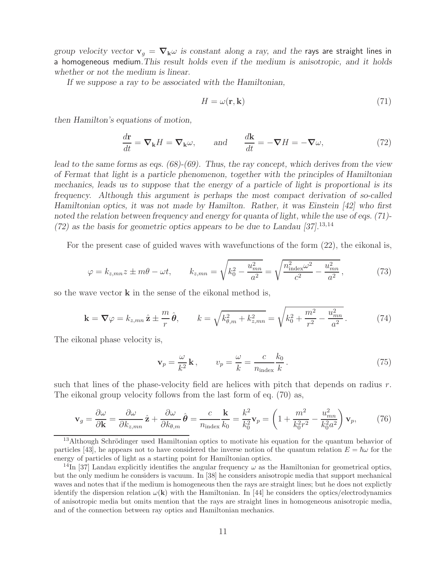*group velocity vector*  $\mathbf{v}_q = \nabla_k \omega$  *is constant along a ray, and the rays are straight lines in* a homogeneous medium*.This result holds even if the medium is anisotropic, and it holds whether or not the medium is linear.*

*If we suppose a ray to be associated with the Hamiltonian,*

$$
H = \omega(\mathbf{r}, \mathbf{k})\tag{71}
$$

*then Hamilton's equations of motion,*

$$
\frac{d\mathbf{r}}{dt} = \mathbf{\nabla}_{\mathbf{k}} H = \mathbf{\nabla}_{\mathbf{k}} \omega, \quad \text{and} \quad \frac{d\mathbf{k}}{dt} = -\mathbf{\nabla} H = -\mathbf{\nabla} \omega,
$$
\n(72)

*lead to the same forms as eqs. (68)-(69). Thus, the ray concept, which derives from the view of Fermat that light is a particle phenomenon, together with the principles of Hamiltonian mechanics, leads us to suppose that the energy of a particle of light is proportional is its frequency. Although this argument is perhaps the most compact derivation of so-called Hamiltonian optics, it was not made by Hamilton. Rather, it was Einstein [42] who first noted the relation between frequency and energy for quanta of light, while the use of eqs. (71)- (72) as the basis for geometric optics appears to be due to Landau [37].*<sup>13</sup>*,*<sup>14</sup>

For the present case of guided waves with wavefunctions of the form (22), the eikonal is,

$$
\varphi = k_{z,mn} z \pm m\theta - \omega t, \qquad k_{z,mn} = \sqrt{k_0^2 - \frac{u_{mn}^2}{a^2}} = \sqrt{\frac{n_{\text{index}}^2 \omega^2}{c^2} - \frac{u_{mn}^2}{a^2}},\tag{73}
$$

so the wave vector **k** in the sense of the eikonal method is,

$$
\mathbf{k} = \nabla \varphi = k_{z,mn} \,\hat{\mathbf{z}} \pm \frac{m}{r} \,\hat{\boldsymbol{\theta}}, \qquad k = \sqrt{k_{\theta,m}^2 + k_{z,mn}^2} = \sqrt{k_0^2 + \frac{m^2}{r^2} - \frac{u_{mn}^2}{a^2}}.
$$
 (74)

The eikonal phase velocity is,

$$
\mathbf{v}_p = \frac{\omega}{k^2} \mathbf{k}, \qquad v_p = \frac{\omega}{k} = \frac{c}{n_{\text{index}}} \frac{k_0}{k}.
$$
 (75)

such that lines of the phase-velocity field are helices with pitch that depends on radius  $r$ . The eikonal group velocity follows from the last form of eq. (70) as,

$$
\mathbf{v}_g = \frac{\partial \omega}{\partial \mathbf{k}} = \frac{\partial \omega}{\partial k_{z,mn}} \hat{\mathbf{z}} + \frac{\partial \omega}{\partial k_{\theta,m}} \hat{\boldsymbol{\theta}} = \frac{c}{n_{\text{index}}} \frac{\mathbf{k}}{k_0} = \frac{k^2}{k_0^2} \mathbf{v}_p = \left(1 + \frac{m^2}{k_0^2 r^2} - \frac{u_{mn}^2}{k_0^2 a^2}\right) \mathbf{v}_p, \tag{76}
$$

 $13$ Although Schrödinger used Hamiltonian optics to motivate his equation for the quantum behavior of particles [43], he appears not to have considered the inverse notion of the quantum relation  $E = \hbar \omega$  for the energy of particles of light as a starting point for Hamiltonian optics.

<sup>&</sup>lt;sup>14</sup>In [37] Landau explicitly identifies the angular frequency  $\omega$  as the Hamiltonian for geometrical optics, but the only medium he considers is vacuum. In [38] he considers anisotropic media that support mechanical waves and notes that if the medium is homogeneous then the rays are straight lines; but he does not explictly identify the dispersion relation  $\omega(\mathbf{k})$  with the Hamiltonian. In [44] he considers the optics/electrodynamics of anisotropic media but omits mention that the rays are straight lines in homogeneous anisotropic media, and of the connection between ray optics and Hamiltonian mechanics.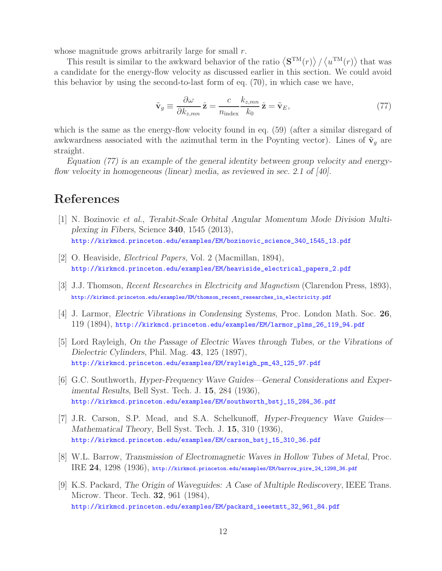whose magnitude grows arbitrarily large for small r.

This result is similar to the awkward behavior of the ratio  $\langle S^{TM}(r) \rangle / \langle u^{TM}(r) \rangle$  that was a candidate for the energy-flow velocity as discussed earlier in this section. We could avoid this behavior by using the second-to-last form of eq. (70), in which case we have,

$$
\tilde{\mathbf{v}}_g \equiv \frac{\partial \omega}{\partial k_{z,mn}} \hat{\mathbf{z}} = \frac{c}{n_{\text{index}}} \frac{k_{z,mn}}{k_0} \hat{\mathbf{z}} = \tilde{\mathbf{v}}_E,\tag{77}
$$

which is the same as the energy-flow velocity found in eq. (59) (after a similar disregard of awkwardness associated with the azimuthal term in the Poynting vector). Lines of  $\tilde{\mathbf{v}}_q$  are straight.

*Equation (77) is an example of the general identity between group velocity and energyflow velocity in homogeneous (linear) media, as reviewed in sec. 2.1 of [40].*

# **References**

- [1] N. Bozinovic *et al.*, *Terabit-Scale Orbital Angular Momentum Mode Division Multiplexing in Fibers*, Science **340**, 1545 (2013), http://kirkmcd.princeton.edu/examples/EM/bozinovic\_science\_340\_1545\_13.pdf
- [2] O. Heaviside, *Electrical Papers*, Vol. 2 (Macmillan, 1894), http://kirkmcd.princeton.edu/examples/EM/heaviside\_electrical\_papers\_2.pdf
- [3] J.J. Thomson, *Recent Researches in Electricity and Magnetism* (Clarendon Press, 1893), http://kirkmcd.princeton.edu/examples/EM/thomson\_recent\_researches\_in\_electricity.pdf
- [4] J. Larmor, *Electric Vibrations in Condensing Systems*, Proc. London Math. Soc. **26**, 119 (1894), http://kirkmcd.princeton.edu/examples/EM/larmor\_plms\_26\_119\_94.pdf
- [5] Lord Rayleigh, *On the Passage of Electric Waves through Tubes, or the Vibrations of Dielectric Cylinders*, Phil. Mag. **43**, 125 (1897), http://kirkmcd.princeton.edu/examples/EM/rayleigh\_pm\_43\_125\_97.pdf
- [6] G.C. Southworth, *Hyper-Frequency Wave Guides—General Considerations and Experimental Results*, Bell Syst. Tech. J. **15**, 284 (1936), http://kirkmcd.princeton.edu/examples/EM/southworth\_bstj\_15\_284\_36.pdf
- [7] J.R. Carson, S.P. Mead, and S.A. Schelkunoff, *Hyper-Frequency Wave Guides— Mathematical Theory*, Bell Syst. Tech. J. **15**, 310 (1936), http://kirkmcd.princeton.edu/examples/EM/carson\_bstj\_15\_310\_36.pdf
- [8] W.L. Barrow, *Transmission of Electromagnetic Waves in Hollow Tubes of Metal*, Proc. IRE **24**, 1298 (1936), http://kirkmcd.princeton.edu/examples/EM/barrow\_pire\_24\_1298\_36.pdf
- [9] K.S. Packard, *The Origin of Waveguides: A Case of Multiple Rediscovery*, IEEE Trans. Microw. Theor. Tech. **32**, 961 (1984), http://kirkmcd.princeton.edu/examples/EM/packard\_ieeetmtt\_32\_961\_84.pdf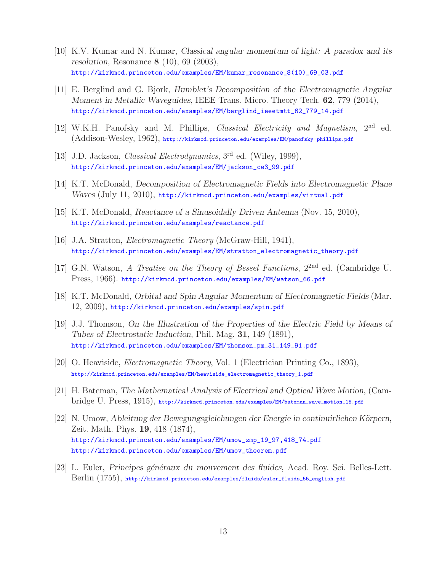- [10] K.V. Kumar and N. Kumar, *Classical angular momentum of light: A paradox and its resolution*, Resonance **8** (10), 69 (2003), http://kirkmcd.princeton.edu/examples/EM/kumar\_resonance\_8(10)\_69\_03.pdf
- [11] E. Berglind and G. Bjork, *Humblet's Decomposition of the Electromagnetic Angular Moment in Metallic Waveguides*, IEEE Trans. Micro. Theory Tech. **62**, 779 (2014), http://kirkmcd.princeton.edu/examples/EM/berglind\_ieeetmtt\_62\_779\_14.pdf
- [12] W.K.H. Panofsky and M. Phillips, *Classical Electricity and Magnetism*, 2nd ed. (Addison-Wesley, 1962), http://kirkmcd.princeton.edu/examples/EM/panofsky-phillips.pdf
- [13] J.D. Jackson, *Classical Electrodynamics*, 3rd ed. (Wiley, 1999), http://kirkmcd.princeton.edu/examples/EM/jackson\_ce3\_99.pdf
- [14] K.T. McDonald, *Decomposition of Electromagnetic Fields into Electromagnetic Plane Waves* (July 11, 2010), http://kirkmcd.princeton.edu/examples/virtual.pdf
- [15] K.T. McDonald, *Reactance of a Sinusoidally Driven Antenna* (Nov. 15, 2010), http://kirkmcd.princeton.edu/examples/reactance.pdf
- [16] J.A. Stratton, *Electromagnetic Theory* (McGraw-Hill, 1941), http://kirkmcd.princeton.edu/examples/EM/stratton\_electromagnetic\_theory.pdf
- [17] G.N. Watson, *A Treatise on the Theory of Bessel Functions*, 22nd ed. (Cambridge U. Press, 1966). http://kirkmcd.princeton.edu/examples/EM/watson\_66.pdf
- [18] K.T. McDonald, *Orbital and Spin Angular Momentum of Electromagnetic Fields* (Mar. 12, 2009), http://kirkmcd.princeton.edu/examples/spin.pdf
- [19] J.J. Thomson, *On the Illustration of the Properties of the Electric Field by Means of Tubes of Electrostatic Induction*, Phil. Mag. **31**, 149 (1891), http://kirkmcd.princeton.edu/examples/EM/thomson\_pm\_31\_149\_91.pdf
- [20] O. Heaviside, *Electromagnetic Theory*, Vol. 1 (Electrician Printing Co., 1893), http://kirkmcd.princeton.edu/examples/EM/heaviside\_electromagnetic\_theory\_1.pdf
- [21] H. Bateman, *The Mathematical Analysis of Electrical and Optical Wave Motion*, (Cambridge U. Press, 1915), http://kirkmcd.princeton.edu/examples/EM/bateman\_wave\_motion\_15.pdf
- [22] N. Umow, *Ableitung der Bewegungsgleichungen der Energie in continuirlichen Körpern*, Zeit. Math. Phys. **19**, 418 (1874), http://kirkmcd.princeton.edu/examples/EM/umow\_zmp\_19\_97,418\_74.pdf http://kirkmcd.princeton.edu/examples/EM/umov\_theorem.pdf
- [23] L. Euler, *Principes g´en´eraux du mouvement des fluides*, Acad. Roy. Sci. Belles-Lett. Berlin (1755), http://kirkmcd.princeton.edu/examples/fluids/euler\_fluids\_55\_english.pdf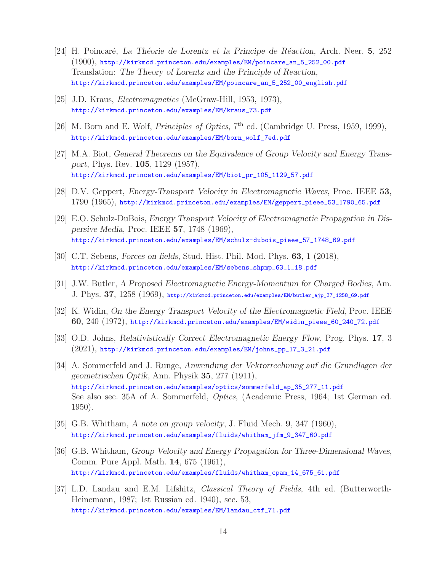- [24] H. Poincar´e, *La Th´eorie de Lorentz et la Principe de R´eaction*, Arch. Neer. **5**, 252 (1900), http://kirkmcd.princeton.edu/examples/EM/poincare\_an\_5\_252\_00.pdf Translation: *The Theory of Lorentz and the Principle of Reaction*, http://kirkmcd.princeton.edu/examples/EM/poincare\_an\_5\_252\_00\_english.pdf
- [25] J.D. Kraus, *Electromagnetics* (McGraw-Hill, 1953, 1973), http://kirkmcd.princeton.edu/examples/EM/kraus\_73.pdf
- [26] M. Born and E. Wolf, *Principles of Optics*, 7<sup>th</sup> ed. (Cambridge U. Press, 1959, 1999), http://kirkmcd.princeton.edu/examples/EM/born\_wolf\_7ed.pdf
- [27] M.A. Biot, *General Theorems on the Equivalence of Group Velocity and Energy Transport*, Phys. Rev. **105**, 1129 (1957), http://kirkmcd.princeton.edu/examples/EM/biot\_pr\_105\_1129\_57.pdf
- [28] D.V. Geppert, *Energy-Transport Velocity in Electromagnetic Waves*, Proc. IEEE **53**, 1790 (1965), http://kirkmcd.princeton.edu/examples/EM/geppert\_pieee\_53\_1790\_65.pdf
- [29] E.O. Schulz-DuBois, *Energy Transport Velocity of Electromagnetic Propagation in Dispersive Media*, Proc. IEEE **57**, 1748 (1969), http://kirkmcd.princeton.edu/examples/EM/schulz-dubois\_pieee\_57\_1748\_69.pdf
- [30] C.T. Sebens, *Forces on fields*, Stud. Hist. Phil. Mod. Phys. **63**, 1 (2018), http://kirkmcd.princeton.edu/examples/EM/sebens\_shpmp\_63\_1\_18.pdf
- [31] J.W. Butler, *A Proposed Electromagnetic Energy-Momentum for Charged Bodies*, Am. J. Phys. **37**, 1258 (1969), http://kirkmcd.princeton.edu/examples/EM/butler\_ajp\_37\_1258\_69.pdf
- [32] K. Widin, *On the Energy Transport Velocity of the Electromagnetic Field*, Proc. IEEE **60**, 240 (1972), http://kirkmcd.princeton.edu/examples/EM/widin\_pieee\_60\_240\_72.pdf
- [33] O.D. Johns, *Relativistically Correct Electromagnetic Energy Flow*, Prog. Phys. **17**, 3 (2021), http://kirkmcd.princeton.edu/examples/EM/johns\_pp\_17\_3\_21.pdf
- [34] A. Sommerfeld and J. Runge, *Anwendung der Vektorrechnung auf die Grundlagen der geometrischen Optik*, Ann. Physik **35**, 277 (1911), http://kirkmcd.princeton.edu/examples/optics/sommerfeld\_ap\_35\_277\_11.pdf See also sec. 35A of A. Sommerfeld, *Optics*, (Academic Press, 1964; 1st German ed. 1950).
- [35] G.B. Whitham, *A note on group velocity*, J. Fluid Mech. **9**, 347 (1960), http://kirkmcd.princeton.edu/examples/fluids/whitham\_jfm\_9\_347\_60.pdf
- [36] G.B. Whitham, *Group Velocity and Energy Propagation for Three-Dimensional Waves*, Comm. Pure Appl. Math. **14**, 675 (1961), http://kirkmcd.princeton.edu/examples/fluids/whitham\_cpam\_14\_675\_61.pdf
- [37] L.D. Landau and E.M. Lifshitz, *Classical Theory of Fields*, 4th ed. (Butterworth-Heinemann, 1987; 1st Russian ed. 1940), sec. 53, http://kirkmcd.princeton.edu/examples/EM/landau\_ctf\_71.pdf